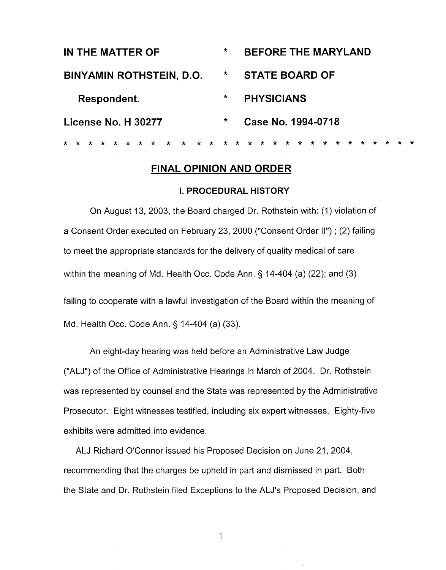| IN THE MATTER OF                                         | $\star$            | <b>BEFORE THE MARYLAND</b>                      |
|----------------------------------------------------------|--------------------|-------------------------------------------------|
| <b>BINYAMIN ROTHSTEIN, D.O.</b>                          | $\star$            | <b>STATE BOARD OF</b>                           |
| Respondent.                                              | $\ast$             | <b>PHYSICIANS</b>                               |
| License No. H 30277                                      | $\star$            | Case No. 1994-0718                              |
| $\star$<br>$\mathbf{r}$<br>$\star$<br>$\star$<br>$\star$ | $\star$<br>$\star$ | $\star$<br>$\star$<br>* *<br>$\star$<br>$\star$ |

# **FINAL OPINION AND ORDER**

### **I. PROCEDURAL HISTORY**

On August 13, 2003, the Board charged Dr. Rothstein with: (1) violation of a Consent Order executed on February 23, 2000 ("Consent Order II") ; (2) failing to meet the appropriate standards for the delivery of quality medical of care within the meaning of Md. Health Occ. Code Ann. § 14-404 (a) (22); and (3) failing to cooperate with a lawful investigation of the Board within the meaning of Md. Health Occ. Code Ann. § 14-404 (a) (33).

An eight-day hearing was held before an Administrative Law Judge ("ALJ") of the Office of Administrative Hearings in March of 2004. Dr. Rothstein was represented by counsel and the State was represented by the Administrative Prosecutor. Eight witnesses testified, including six expert witnesses. Eighty-five exhibits were admitted into evidence.

ALJ Richard O'Connor issued his Proposed Decision on June 21,2004, recommending that the charges be upheld in part and dismissed in part. Both the State and Dr. Rothstein filed Exceptions to the ALJ's Proposed Decision, and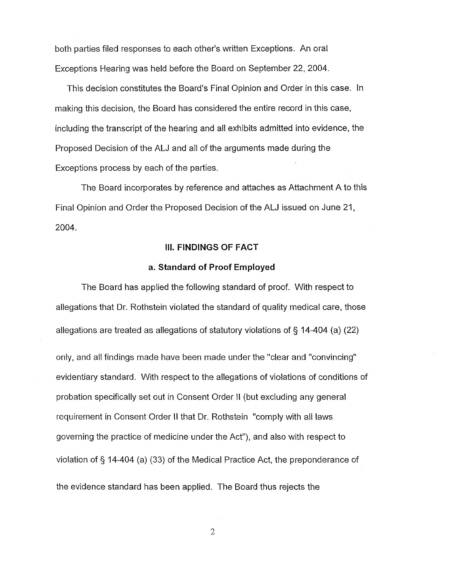both parties filed responses to each other's written Exceptions. An oral Exceptions Hearing was held before the Board on September 22, 2004.

This decision constitutes the Board's Final Opinion and Order in this case. In making this decision, the Board has considered the entire record in this case, including the transcript of the hearing and all exhibits admitted into evidence, the Proposed Decision of the AU and all of the arguments made during the Exceptions process by each of the parties.

The Board incorporates by reference and attaches as Attachment A to this Final Opinion and Order the Proposed Decision of the ALJ issued on June 21, 2004.

# **III. FINDINGS OF FACT**

# **a. Standard of Proof Employed**

The Board has applied the following standard of proof. With respect to allegations that Dr. Rothstein violated the standard of quality medical care, those allegations are treated as allegations of statutory violations of § 14-404 (a) (22) only, and all findings made have been made under the "clear and "convincing" evidentiary standard. With respect to the allegations of violations of conditions of probation specifically set out in Consent Order **II** (but excluding any general requirement in Consent Order II that Dr. Rothstein "comply with all laws governing the practice of medicine under the Act"), and also with respect to violation of § 14-404 (a) (33) of the Medical Practice Act, the preponderance of the evidence standard has been applied. The Board thus rejects the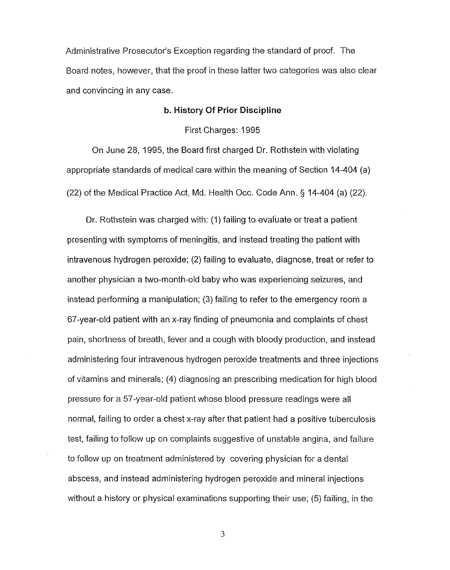Administrative Prosecutor's Exception regarding the standard of proof. The Board notes, however, that the proof in these latter two categories was also clear and convincing in any case.

## **b. History Of Prior Discipline**

First Charges: 1995

On June 28, 1995, the Board first charged Dr. Rothstein with violating appropriate standards of medical care within the meaning of Section 14-404 (a) (22) of the Medical Practice Act, Md. Health Occ. Code Ann. § 14-404 (a) (22).

Dr. Rothstein was charged with: (1) failing to evaluate or treat a patient presenting with symptoms of meningitis, and instead treating the patient with intravenous hydrogen peroxide; (2) failing to evaluate, diagnose, treat or refer to another physician a two-month-old baby who was experiencing seizures, and instead performing a manipulation; (3) failing to refer to the emergency room a 67-year-old patient with an x-ray finding of pneumonia and complaints of chest pain, shortness of breath, fever and a cough with bloody production, and instead administering four intravenous hydrogen peroxide treatments and three injections of vitamins and minerals; (4) diagnosing an prescribing medication for high blood pressure for a 57-year-old patient whose blood pressure readings were all normal, failing to order a chest x-ray after that patient had a positive tuberculosis test, failing to follow up on complaints suggestive of unstable angina, and failure to follow up on treatment administered by covering physician for a dental abscess, and instead administering hydrogen peroxide and mineral injections without a history or physical examinations supporting their use; (5) failing, in the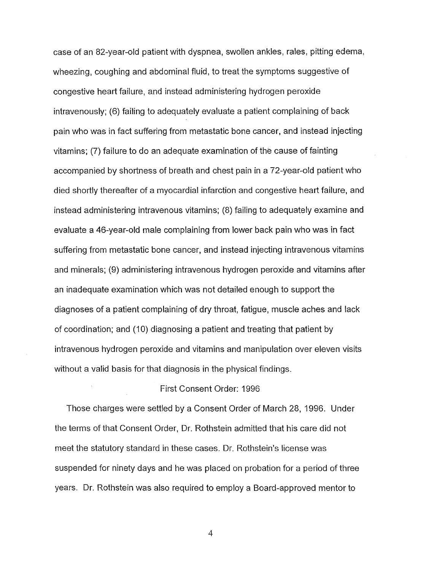case of an 82-year-old patient with dyspnea, swollen ankles, rales, pitting edema, wheezing, coughing and abdominal fluid, to treat the symptoms suggestive of congestive heart failure, and instead administering hydrogen peroxide intravenously; (6) failing to adequately evaluate a patient complaining of back pain who was in fact suffering from metastatic bone cancer, and instead injecting vitamins; (7) failure to do an adequate examination of the cause of fainting accompanied by shortness of breath and chest pain in a 72-year-old patient who died shortly thereafter of a myocardial infarction and congestive heart failure, and instead administering intravenous vitamins; (8) failing to adequately examine and evaluate a 46-year-old male complaining from lower back pain who was in fact suffering from metastatic bone cancer, and instead injecting intravenous vitamins and minerals; (9) administering intravenous hydrogen peroxide and vitamins after an inadequate examination which was not detailed enough to support the diagnoses of a patient complaining of dry throat, fatigue, muscle aches and lack of coordination; and (10) diagnosing a patient and treating that patient by intravenous hydrogen peroxide and vitamins and manipulation over eleven visits without a valid basis for that diagnosis in the physical findings.

## First Consent Order: 1996

Those charges were settled by a Consent Order of March 28, 1996. Under the terms of that Consent Order, Dr. Rothstein admitted that his care did not meet the statutory standard in these cases. Dr. Rothstein's license was suspended for ninety days and he was placed on probation for a period of three years. Dr. Rothstein was also required to employ a Board-approved mentor to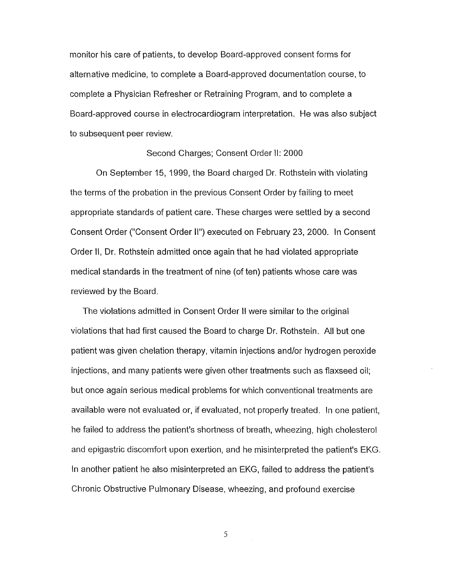monitor his care of patients, to develop Board-approved consent forms for alternative medicine, to complete a Board-approved documentation course, to complete a Physician Refresher or Retraining Program, and to complete a Board-approved course in electrocardiogram interpretation. He was also subject to subsequent peer review.

#### Second Charges; Consent Order II: 2000

On September 15, 1999, the Board charged Dr. Rothstein with violating the terms of the probation in the previous Consent Order by failing to meet appropriate standards of patient care. These charges were settled by a second Consent Order ("Consent Order 11")executed on February 23, 2000. In Consent Order II, Dr. Rothstein admitted once again that he had violated appropriate medical standards in the treatment of nine (of ten) patients whose care was reviewed by the Board.

The violations admitted in Consent Order II were similar to the original violations that had first caused the Board to charge Dr. Rothstein. All but one patient was given chelation therapy, vitamin injections and/or hydrogen peroxide injections, and many patients were given other treatments such as flaxseed oil; but once again serious medical problems for which conventional treatments are available were not evaluated or, if evaluated, not properly treated. In one patient, he failed to address the patient's shortness of breath, wheezing, high cholesterol and epigastric discomfort upon exertion, and he misinterpreted the patient's EKG. In another patient he also misinterpreted an EKG, failed to address the patient's Chronic Obstructive Pulmonary Disease, wheezing, and profound exercise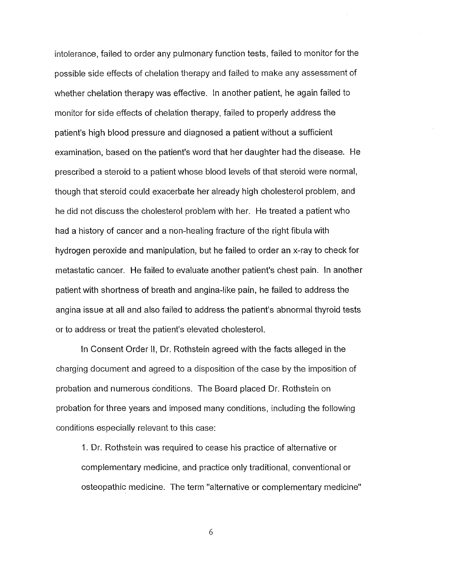intolerance, failed to order any pulmonary function tests, failed to monitor for the possible side effects of chelation therapy and failed to make any assessment of whether chelation therapy was effective. In another patient, he again failed to monitor for side effects of chelation therapy, failed to properly address the patient's high blood pressure and diagnosed a patient without a sufficient examination, based on the patient's word that her daughter had the disease. He prescribed a steroid to a patient whose blood levels of that steroid were normal, though that steroid could exacerbate her already high cholesterol problem, and he did not discuss the cholesterol problem with her. He treated a patient who had a history of cancer and a non-healing fracture of the right fibula with hydrogen peroxide and manipulation, but he failed to order an x-ray to check for metastatic cancer. He failed to evaluate another patient's chest pain. In another patient with shortness of breath and angina-like pain, he failed to address the angina issue at all and also failed to address the patient's abnormal thyroid tests or to address or treat the patient's elevated cholesterol.

In Consent Order II, Dr. Rothstein agreed with the facts alleged in the charging document and agreed to a disposition of the case by the imposition of probation and numerous conditions. The Board placed Dr. Rothstein on probation for three years and imposed many conditions, including the following conditions especially relevant to this case:

1. Dr. Rothstein was required to cease his practice of alternative or complementary medicine, and practice only traditional, conventional or osteopathic medicine. The term "alternative or complementary medicine"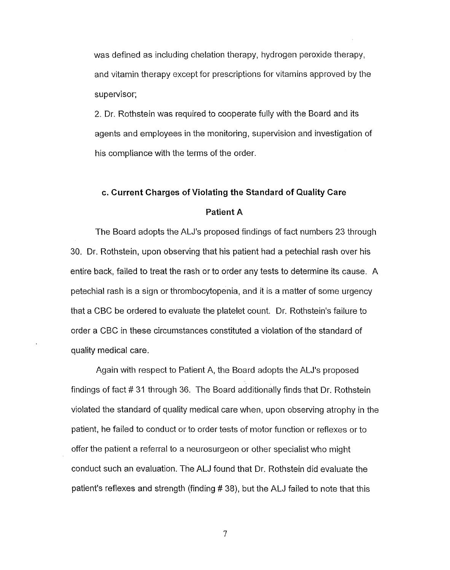was defined as including chelation therapy, hydrogen peroxide therapy, and vitamin therapy except for prescriptions for vitamins approved by the supervisor;

2. Dr. Rothstein was required to cooperate fully with the Board and its agents and employees in the monitoring, supervision and investigation of his compliance with the terms of the order.

# **c. Current Charges of Violating the Standard of Quality Care**

# **Patient A**

The Board adopts the ALJ's proposed findings of fact numbers 23 through 30. Dr. Rothstein, upon observing that his patient had a petechial rash over his entire back, failed to treat the rash or to order any tests to determine its cause. A petechial rash is a sign or thrombocytopenia, and it is a matter of some urgency that a CBC be ordered to evaluate the platelet count. Dr. Rothstein's failure to order a CBC in these circumstances constituted a violation of the standard of quality medical care.

Again with respect to Patient A, the Board adopts the ALJ's proposed findings of fact # 31 through 36. The Board additionally finds that Dr. Rothstein violated the standard of quality medical care when, upon observing atrophy in the patient, he failed to conduct or to order tests of motor function or reflexes or to offer the patient a referral to a neurosurgeon or other specialist who might conduct such an evaluation. The ALJ found that Dr. Rothstein did evaluate the patient's reflexes and strength (finding # 38), but the ALJ failed to note that this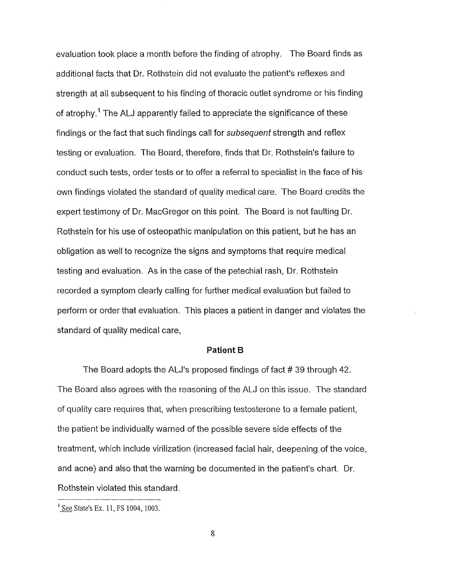evaluation took place a month before the finding of atrophy. The Board finds as additional facts that Dr. Rothstein did not evaluate the patient's reflexes and strength at all subsequent to his finding of thoracic outlet syndrome or his finding of atrophy.<sup>1</sup> The ALJ apparently failed to appreciate the significance of these findings or the fact that such findings call for subsequent strength and reflex testing or evaluation. The Board, therefore, finds that Dr. Rothstein's failure to conduct such tests, order tests or to offer a referral to specialist in the face of his own findings violated the standard of quality medical care. The Board credits the expert testimony of Dr. MacGregor on this point. The Board is not faulting Dr. Rothstein for his use of osteopathic manipulation on this patient, but he has an obligation as well to recognize the signs and symptoms that require medical testing and evaluation. As in the case of the petechial rash, Dr. Rothstein recorded a symptom clearly calling for further medical evaluation but failed to perform or order that evaluation. This places a patient in danger and violates the standard of quality medical care,

#### **Patient B**

The Board adopts the ALJ's proposed findings of fact # 39 through 42. The Board also agrees with the reasoning of the ALJ on this issue. The standard of quality care requires that, when prescribing testosterone to a female patient, the patient be individually warned of the possible severe side effects of the treatment, which include virilization (increased facial hair, deepening of the voice, and acne) and also that the warning be documented in the patient's chart. Dr. Rothstein violated this standard.

 $\frac{1}{2}$  See State's Ex. 11, FS 1004, 1003.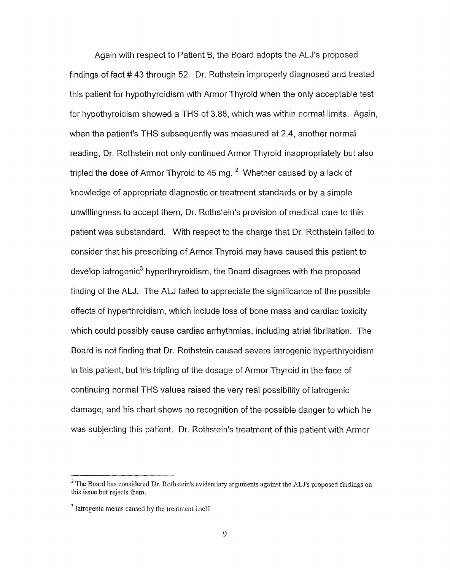Again with respect to Patient B, the Board adopts the ALJ's proposed findings of fact # 43 through 52. Dr. Rothstein improperly diagnosed and treated this patient for hypothyroidism with Armor Thyroid when the only acceptable test for hypothyroidism showed a THS of 3.88, which was within normal limits. Again, when the patient's THS subsequently was measured at 2.4, another normal reading, Dr. Rothstein not only continued Armor Thyroid inappropriately but also tripled the dose of Armor Thyroid to 45 mg.  $^2$  Whether caused by a lack of knowledge of appropriate diagnostic or treatment standards or by a simple unwillingness to accept them, Dr. Rothstein's provision of medical care to this patient was substandard. With respect to the charge that Dr. Rothstein failed to consider that his prescribing of Armor Thyroid may have caused this patient to develop iatrogenic<sup>3</sup> hyperthryroidism, the Board disagrees with the proposed finding of the ALJ. The ALJ failed to appreciate the significance of the possible effects of hyperthroidism, which include loss of bone mass and cardiac toxicity which could possibly cause cardiac arrhythmias, including atrial fibrillation. The Board is not finding that Dr. Rothstein caused severe iatrogenic hyperthryoidism in this patient, but his tripling of the dosage of Armor Thyroid in the face of continuing normal THS values raised the very real possibility of iatrogenic damage, and his chart shows no recognition of the possible danger to which he was subjecting this patient. Dr. Rothstein's treatment of this patient with Armor

 $^2$  The Board has considered Dr. Rothstein's evidentiary arguments against the ALJ's proposed findings on this issue but rejects them.

<sup>&</sup>lt;sup>3</sup> Iatrogenic means caused by the treatment itself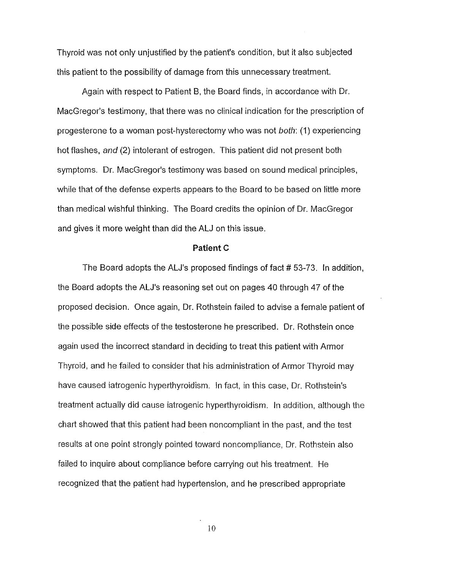Thyroid was not only unjustified by the patient's condition, but it also subjected this patient to the possibility of damage from this unnecessary treatment.

Again with respect to Patient B, the Board finds, in accordance with Dr. MacGregor's testimony, that there was no clinical indication for the prescription of progesterone to a woman post-hysterectomy who was not both: (1) experiencing hot flashes, and (2) intolerant of estrogen. This patient did not present both symptoms. Dr. MacGregor's testimony was based on sound medical principles, while that of the defense experts appears to the Board to be based on little more than medical wishful thinking. The Board credits the opinion of Dr. MacGregor and gives it more weight than did the ALJ on this issue.

#### **Patient C**

The Board adopts the ALJ's proposed findings of fact # 53-73. In addition, the Board adopts the ALJ's reasoning set out on pages 40 through 47 of the proposed decision. Once again, Dr. Rothstein failed to advise a female patient of the possible side effects of the testosterone he prescribed. Dr. Rothstein once again used the incorrect standard in deciding to treat this patient with Armor Thyroid, and he failed to consider that his administration of Armor Thyroid may have caused iatrogenic hyperthyroidism. In fact, in this case, Dr. Rothstein's treatment actually did cause iatrogenic hyperthyroidism. In addition, although the chart showed that this patient had been noncompliant in the past, and the test results at one point strongly pointed toward noncompliance, Dr. Rothstein also failed to inquire about compliance before carrying out his treatment. He recognized that the patient had hypertension, and he prescribed appropriate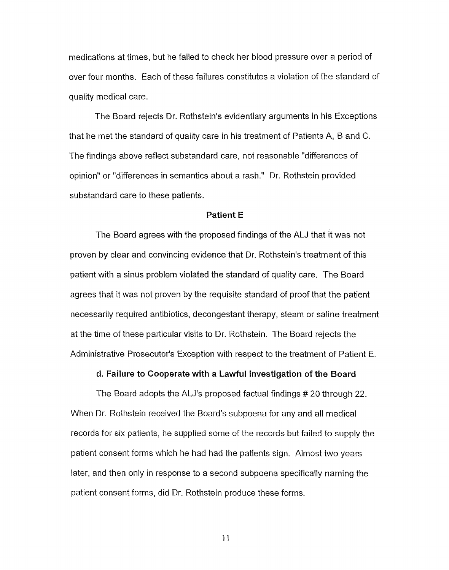medications at times, but he failed to check her blood pressure over a period of over four months. Each of these failures constitutes a violation of the standard of quality medical care.

The Board rejects Dr. Rothstein's evidentiary arguments in his Exceptions that he met the standard of quality care in his treatment of Patients A, Band C. The findings above reflect substandard care, not reasonable "differences of opinion" or "differences in semantics about a rash." Dr. Rothstein provided substandard care to these patients.

#### **Patient E**

The Board agrees with the proposed findings of the ALJ that it was not proven by clear and convincing evidence that Dr. Rothstein's treatment of this patient with a sinus problem violated the standard of quality care. The Board agrees that it was not proven by the requisite standard of proof that the patient necessarily required antibiotics, decongestant therapy, steam or saline treatment at the time of these particular visits to Dr. Rothstein. The Board rejects the Administrative Prosecutor's Exception with respect to the treatment of Patient E.

**d. Failure to Cooperate with a** Lawful Investigation **of the Board**

The Board adopts the ALJ's proposed factual findings # 20 through 22. When Dr. Rothstein received the Board's subpoena for any and all medical records for six patients, he supplied some of the records but failed to supply the patient consent forms which he had had the patients sign. Almost two years later, and then only in response to a second subpoena specifically naming the patient consent forms, did Dr. Rothstein produce these forms.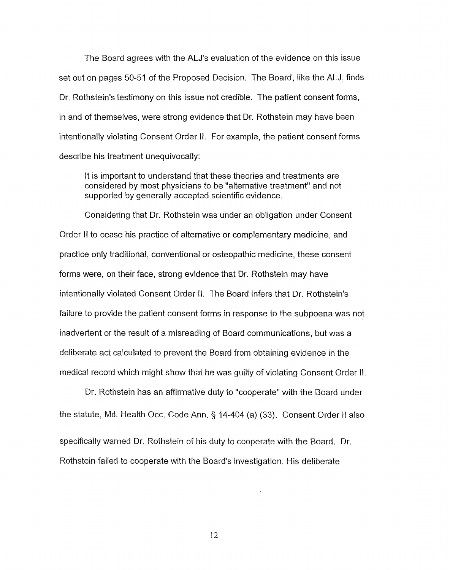The Board agrees with the ALJ's evaluation of the evidence on this issue set out on pages 50-51 of the Proposed Decision. The Board, like the ALJ, finds Dr. Rothstein's testimony on this issue not credible. The patient consent forms, in and of themselves, were strong evidence that Dr. Rothstein may have been intentionally violating Consent Order II. For example, the patient consent forms describe his treatment unequivocally:

It is important to understand that these theories and treatments are considered by most physicians to be "alternative treatment" and not supported by generally accepted scientific evidence.

Considering that Dr. Rothstein was under an obligation under Consent Order II to cease his practice of alternative or complementary medicine, and practice only traditional, conventional or osteopathic medicine, these consent forms were, on their face, strong evidence that Dr. Rothstein may have intentionally violated Consent Order II. The Board infers that Dr. Rothstein's failure to provide the patient consent forms in response to the subpoena was not inadvertent or the result of a misreading of Board communications, but was a deliberate act calculated to prevent the Board from obtaining evidence in the medical record which might show that he was guilty of violating Consent Order II.

Dr. Rothstein has an affirmative duty to "cooperate" with the Board under the statute, Md. Health Occ. Code Ann. § 14-404 (a) (33). Consent Order II also specifically warned Dr. Rothstein of his duty to cooperate with the Board. Dr.

Rothstein failed to cooperate with the Board's investigation. His deliberate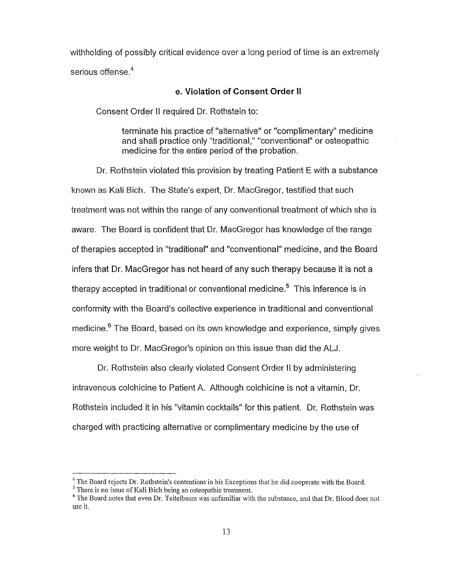withholding of possibly critical evidence over a long period of time is an extremely serious offense.<sup>4</sup>

### **e. Violation of Consent Order II**

Consent Order II required Dr. Rothstein to:

terminate his practice of "alternative" or "complimentary" medicine and shall practice only "traditional," "conventional" or osteopathic medicine for the entire period of the probation.

Dr. Rothstein violated this provision by treating Patient E with a substance known as Kali Bich. The State's expert, Dr. MacGregor, testified that such treatment was not within the range of any conventional treatment of which she is aware. The Board is confident that Dr. MacGregor has knowledge of the range of therapies accepted in "traditional" and "conventional" medicine, and the Board infers that Dr. MacGregor has not heard of any such therapy because it is not a therapy accepted in traditional or conventional medicine.<sup>5</sup> This inference is in conformity with the Board's collective experience in traditional and conventional medicine.<sup>6</sup> The Board, based on its own knowledge and experience, simply gives more weight to Dr. MacGregor's opinion on this issue than did the ALJ.

Dr. Rothstein also clearly violated Consent Order \I by administering intravenous colchicine to Patient A. Although colchicine is not a vitamin, Dr. Rothstein included it in his "vitamin cocktails" for this patient. Dr. Rothstein was charged with practicing alternative or complimentary medicine by the use of

<sup>&</sup>lt;sup>4</sup> The Board rejects Dr. Rothstein's contentions in his Exceptions that he did cooperate with the Board

<sup>&</sup>lt;sup>5</sup> There is no issue of Kali Bich being an osteopathic treatment

<sup>&</sup>lt;sup>6</sup> The Board notes that even Dr. Teitelbaum was unfamiliar with the substance, and that Dr. Blood does not use it.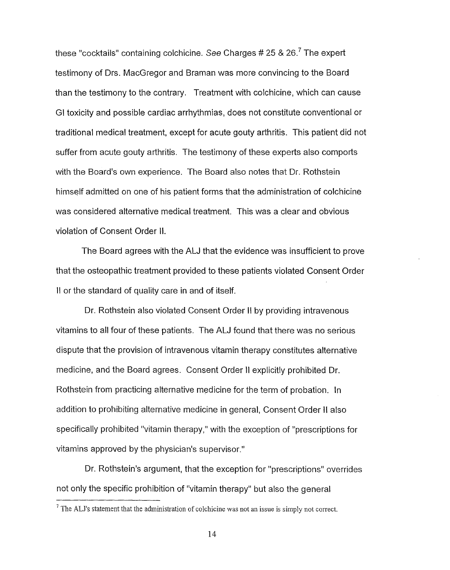these "cocktails" containing colchicine. See Charges  $# 25 \& 26.7$  The expert testimony of Drs. MacGregor and Braman was more convincing to the Board than the testimony to the contrary. Treatment with colchicine, which can cause GI toxicity and possible cardiac arrhythmias, does not constitute conventional or traditional medical treatment, except for acute gouty arthritis. This patient did not suffer from acute gouty arthritis. The testimony of these experts also comports with the Board's own experience. The Board also notes that Dr. Rothstein himself admitted on one of his patient forms that the administration of colchicine was considered alternative medical treatment. This was a clear and obvious violation of Consent Order II.

The Board agrees with the ALJ that the evidence was insufficient to prove that the osteopathic treatment provided to these patients violated Consent Order II or the standard of quality care in and of itself.

Dr. Rothstein also violated Consent Order II by providing intravenous vitamins to all four of these patients. The ALJ found that there was no serious dispute that the provision of intravenous vitamin therapy constitutes alternative medicine, and the Board agrees. Consent Order II explicitly prohibited Dr. Rothstein from practicing alternative medicine for the term of probation. In addition to prohibiting alternative medicine in general, Consent Order II also specifically prohibited "vitamin therapy," with the exception of "prescriptions for vitamins approved by the physician's supervisor."

Dr. Rothstein's argument, that the exception for "prescriptions" overrides not only the specific prohibition of "vitamin therapy" but also the general

<sup>&</sup>lt;sup>7</sup> The ALJ's statement that the administration of colchicine was not an issue is simply not correct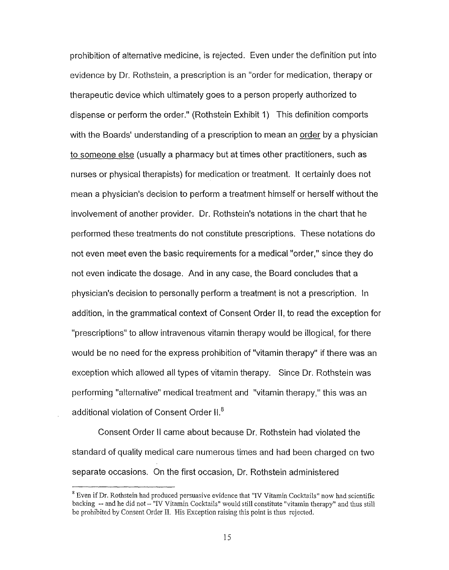prohibition of alternative medicine, is rejected. Even under the definition put into evidence by Dr. Rothstein, a prescription is an "order for medication, therapy or therapeutic device which ultimately goes to a person properly authorized to dispense or perform the order." (Rothstein Exhibit 1) This definition comports with the Boards' understanding of a prescription to mean an order by a physician to someone else (usually a pharmacy but at times other practitioners, such as nurses or physical therapists) for medication or treatment. It certainly does not mean a physician's decision to perform a treatment himself or herself without the involvement of another provider. Dr. Rothstein's notations in the chart that he performed these treatments do not constitute prescriptions. These notations do not even meet even the basic requirements for a medical "order," since they do not even indicate the dosage. And in any case, the Board concludes that a physician's decision to personally perform a treatment is not a prescription. In addition, in the grammatical context of Consent Order II, to read the exception for "prescriptions" to allow intravenous vitamin therapy would be illogical, for there would be no need for the express prohibition of "vitamin therapy" if there was an exception which allowed all types of vitamin therapy. Since Dr. Rothstein was performing "alternative" medical treatment and "vitamin therapy," this was an additional violation of Consent Order II.<sup>8</sup>

Consent Order II came about because Dr. Rothstein had violated the standard of quality medical care numerous times and had been charged on two separate occasions. On the first occasion, Dr. Rothstein administered

 $^8$  Even if Dr. Rothstein had produced persuasive evidence that "IV Vitamin Cocktails" now had scientific backing -- and he did not- "IV Vitamin Cocktails" would still constitute "vitamin therapy" and thus still be prohibited by Consent Order II. His Exception raising this point is thus rejected.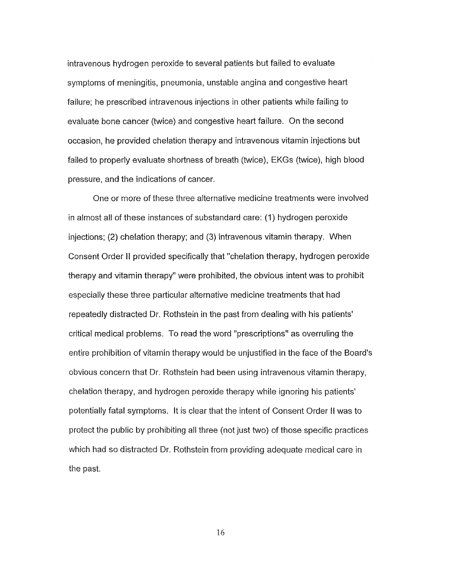intravenous hydrogen peroxide to several patients but failed to evaluate symptoms of meningitis, pneumonia, unstable angina and congestive heart failure; he prescribed intravenous injections in other patients while failing to evaluate bone cancer (twice) and congestive heart failure. On the second occasion, he provided chelation therapy and intravenous vitamin injections but failed to properly evaluate shortness of breath (twice), EKGs (twice), high blood pressure, and the indications of cancer.

One or more of these three alternative medicine treatments were involved in almost all of these instances of substandard care: (1) hydrogen peroxide injections; (2) chelation therapy; and (3) intravenous vitamin therapy. When Consent Order II provided specifically that "chelation therapy, hydrogen peroxide therapy and vitamin therapy" were prohibited, the obvious intent was to prohibit especially these three particular alternative medicine treatments that had repeatedly distracted Dr. Rothstein in the past from dealing with his patients' critical medical problems. To read the word "prescriptions" as overruling the entire prohibition of vitamin therapy would be unjustified in the face of the Board's obvious concern that Dr. Rothstein had been using intravenous vitamin therapy, chelation therapy, and hydrogen peroxide therapy while ignoring his patients' potentially fatal symptoms. It is clear that the intent of Consent Order II was to protect the public by prohibiting all three (not just two) of those specific practices which had so distracted Dr. Rothstein from providing adequate medical care in the past.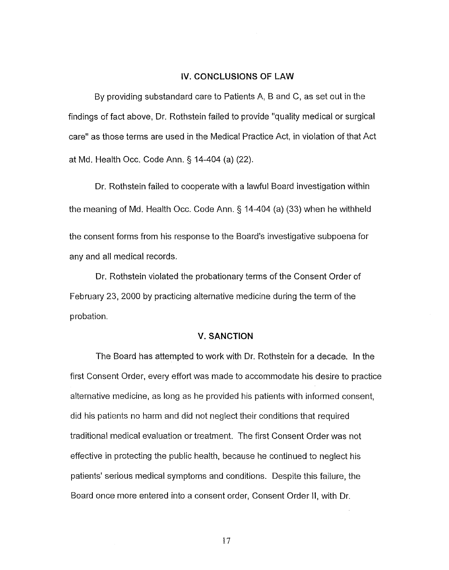### **IV. CONCLUSIONS OF LAW**

By providing substandard care to Patients A, Band C, as set out in the findings of fact above, Dr. Rothstein failed to provide "quality medical or surgical care" as those terms are used in the Medical Practice Act, in violation of that Act at Md. Health Occ. Code Ann. § 14-404 (a) (22).

Dr. Rothstein failed to cooperate with a lawful Board investigation within the meaning of Md. Health Occ. Code Ann. § 14-404 (a) (33) when he withheld the consent forms from his response to the Board's investigative subpoena for any and all medical records.

Dr. Rothstein violated the probationary terms of the Consent Order of February 23, 2000 by practicing alternative medicine during the term of the probation.

### **V. SANCTION**

The Board has attempted to work with Dr. Rothstein for a decade. In the first Consent Order, every effort was made to accommodate his desire to practice alternative medicine, as long as he provided his patients with informed consent, did his patients no harm and did not neglect their conditions that required traditional medical evaluation or treatment. The first Consent Order was not effective in protecting the public health, because he continued to neglect his patients' serious medical symptoms and conditions. Despite this failure, the Board once more entered into a consent order, Consent Order II, with Dr.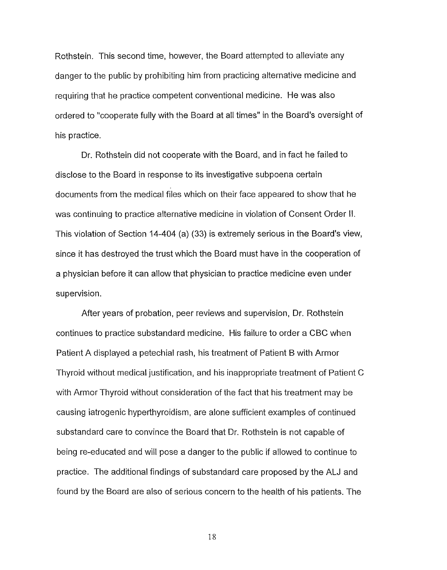Rothstein. This second time, however, the Board attempted to alleviate any danger to the public by prohibiting him from practicing alternative medicine and requiring that he practice competent conventional medicine. He was also ordered to "cooperate fully with the Board at all times" in the Board's oversight of his practice.

Dr. Rothstein did not cooperate with the Board, and in fact he failed to disclose to the Board in response to its investigative subpoena certain documents from the medical files which on their face appeared to show that he was continuing to practice alternative medicine in violation of Consent Order II. This violation of Section 14-404 (a) (33) is extremely serious in the Board's view, since it has destroyed the trust which the Board must have in the cooperation of a physician before it can allow that physician to practice medicine even under supervision.

After years of probation, peer reviews and supervision, Dr. Rothstein continues to practice substandard medicine. His failure to order a CBC when Patient A displayed a petechial rash, his treatment of Patient B with Armor Thyroid without medical justification, and his inappropriate treatment of Patient C with Armor Thyroid without consideration of the fact that his treatment may be causing iatrogenic hyperthyroidism, are alone sufficient examples of continued substandard care to convince the Board that Dr. Rothstein is not capable of being re-educated and will pose a danger to the public if allowed to continue to practice. The additional findings of substandard care proposed by the ALJ and found by the Board are also of serious concern to the health of his patients. The